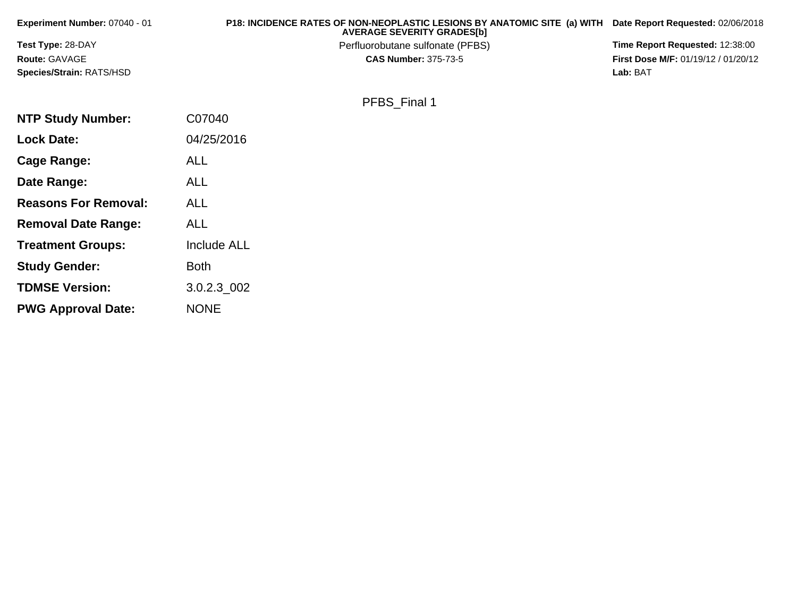| Experiment Number: 07040 - 01   | P18: INCIDENCE RATES OF NON-NEOPLASTIC LESIONS BY ANATOMIC SITE (a) WITH<br><b>AVERAGE SEVERITY GRADES[b]</b> | Date Report Requested: 02/06/2018          |
|---------------------------------|---------------------------------------------------------------------------------------------------------------|--------------------------------------------|
| Test Type: 28-DAY               | Perfluorobutane sulfonate (PFBS)                                                                              | Time Report Requested: 12:38:00            |
| Route: GAVAGE                   | <b>CAS Number: 375-73-5</b>                                                                                   | <b>First Dose M/F: 01/19/12 / 01/20/12</b> |
| <b>Species/Strain: RATS/HSD</b> |                                                                                                               | Lab: BAT                                   |
|                                 | PFBS Final 1                                                                                                  |                                            |
| <b>NTP Study Number:</b>        | C07040                                                                                                        |                                            |
| <b>Lock Date:</b>               | 04/25/2016                                                                                                    |                                            |
| Cage Range:                     | <b>ALL</b>                                                                                                    |                                            |
| Date Range:                     | <b>ALL</b>                                                                                                    |                                            |
| <b>Reasons For Removal:</b>     | <b>ALL</b>                                                                                                    |                                            |
| <b>Removal Date Range:</b>      | <b>ALL</b>                                                                                                    |                                            |

**Treatment Groups:**

**Study Gender:**

**TDMSE Version:**

**PWG Approval Date:**

Include ALL

3.0.2.3\_002

Both

NONE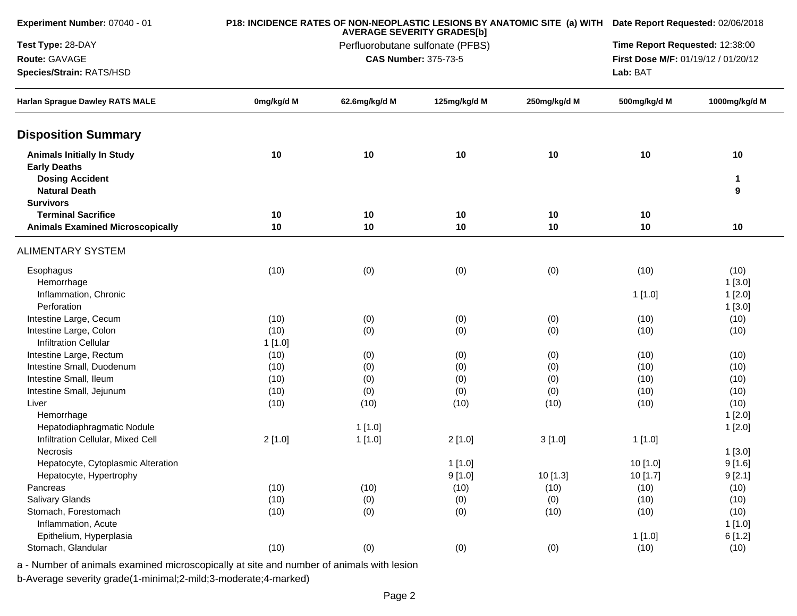| Experiment Number: 07040 - 01                                                      |            |               | <b>AVERAGE SEVERITY GRADES[b]</b> |              | P18: INCIDENCE RATES OF NON-NEOPLASTIC LESIONS BY ANATOMIC SITE (a) WITH Date Report Requested: 02/06/2018 |                    |  |  |
|------------------------------------------------------------------------------------|------------|---------------|-----------------------------------|--------------|------------------------------------------------------------------------------------------------------------|--------------------|--|--|
| Test Type: 28-DAY                                                                  |            |               | Perfluorobutane sulfonate (PFBS)  |              | Time Report Requested: 12:38:00                                                                            |                    |  |  |
| Route: GAVAGE                                                                      |            |               | <b>CAS Number: 375-73-5</b>       |              | First Dose M/F: 01/19/12 / 01/20/12                                                                        |                    |  |  |
| Species/Strain: RATS/HSD                                                           |            |               |                                   |              | Lab: BAT                                                                                                   |                    |  |  |
| <b>Harlan Sprague Dawley RATS MALE</b>                                             | 0mg/kg/d M | 62.6mg/kg/d M | 125mg/kg/d M                      | 250mg/kg/d M | 500mg/kg/d M                                                                                               | 1000mg/kg/d M      |  |  |
| <b>Disposition Summary</b>                                                         |            |               |                                   |              |                                                                                                            |                    |  |  |
| <b>Animals Initially In Study</b><br><b>Early Deaths</b><br><b>Dosing Accident</b> | 10         | 10            | 10                                | 10           | 10                                                                                                         | 10<br>$\mathbf{1}$ |  |  |
| <b>Natural Death</b>                                                               |            |               |                                   |              |                                                                                                            | 9                  |  |  |
| <b>Survivors</b><br><b>Terminal Sacrifice</b>                                      | 10         | 10            | 10                                | 10           | 10                                                                                                         |                    |  |  |
| <b>Animals Examined Microscopically</b>                                            | 10         | 10            | 10                                | 10           | 10                                                                                                         | 10                 |  |  |
| <b>ALIMENTARY SYSTEM</b>                                                           |            |               |                                   |              |                                                                                                            |                    |  |  |
| Esophagus                                                                          | (10)       | (0)           | (0)                               | (0)          | (10)                                                                                                       | (10)               |  |  |
| Hemorrhage                                                                         |            |               |                                   |              |                                                                                                            | 1[3.0]             |  |  |
| Inflammation, Chronic                                                              |            |               |                                   |              | 1[1.0]                                                                                                     | 1[2.0]             |  |  |
| Perforation                                                                        |            |               |                                   |              |                                                                                                            | 1[3.0]             |  |  |
| Intestine Large, Cecum                                                             | (10)       | (0)           | (0)                               | (0)          | (10)                                                                                                       | (10)               |  |  |
| Intestine Large, Colon                                                             | (10)       | (0)           | (0)                               | (0)          | (10)                                                                                                       | (10)               |  |  |
| <b>Infiltration Cellular</b>                                                       | 1[1.0]     |               |                                   |              |                                                                                                            |                    |  |  |
| Intestine Large, Rectum                                                            | (10)       | (0)           | (0)                               | (0)          | (10)                                                                                                       | (10)               |  |  |
| Intestine Small, Duodenum                                                          | (10)       | (0)           | (0)                               | (0)          | (10)                                                                                                       | (10)               |  |  |
| Intestine Small, Ileum                                                             | (10)       | (0)           | (0)                               | (0)          | (10)                                                                                                       | (10)               |  |  |
| Intestine Small, Jejunum                                                           | (10)       | (0)           | (0)                               | (0)          | (10)                                                                                                       | (10)               |  |  |
| Liver                                                                              | (10)       | (10)          | (10)                              | (10)         | (10)                                                                                                       | (10)               |  |  |
| Hemorrhage                                                                         |            |               |                                   |              |                                                                                                            | 1[2.0]             |  |  |
| Hepatodiaphragmatic Nodule                                                         |            | 1[1.0]        |                                   |              |                                                                                                            | 1[2.0]             |  |  |
| Infiltration Cellular, Mixed Cell                                                  | 2[1.0]     | 1[1.0]        | 2[1.0]                            | 3[1.0]       | 1[1.0]                                                                                                     |                    |  |  |
| <b>Necrosis</b>                                                                    |            |               |                                   |              |                                                                                                            | 1[3.0]             |  |  |
| Hepatocyte, Cytoplasmic Alteration                                                 |            |               | 1[1.0]                            |              | 10 [1.0]                                                                                                   | 9[1.6]             |  |  |
| Hepatocyte, Hypertrophy                                                            |            |               | 9[1.0]                            | 10 [1.3]     | 10 [1.7]                                                                                                   | 9[2.1]             |  |  |
| Pancreas                                                                           | (10)       | (10)          | (10)                              | (10)         | (10)                                                                                                       | (10)               |  |  |
| Salivary Glands                                                                    | (10)       | (0)           | (0)                               | (0)          | (10)                                                                                                       | (10)               |  |  |
| Stomach, Forestomach                                                               | (10)       | (0)           | (0)                               | (10)         | (10)                                                                                                       | (10)               |  |  |
| Inflammation, Acute                                                                |            |               |                                   |              |                                                                                                            | 1[1.0]             |  |  |
| Epithelium, Hyperplasia<br>Stomach, Glandular                                      |            |               |                                   |              | 1[1.0]                                                                                                     | 6[1.2]             |  |  |
|                                                                                    | (10)       | (0)           | (0)                               | (0)          | (10)                                                                                                       | (10)               |  |  |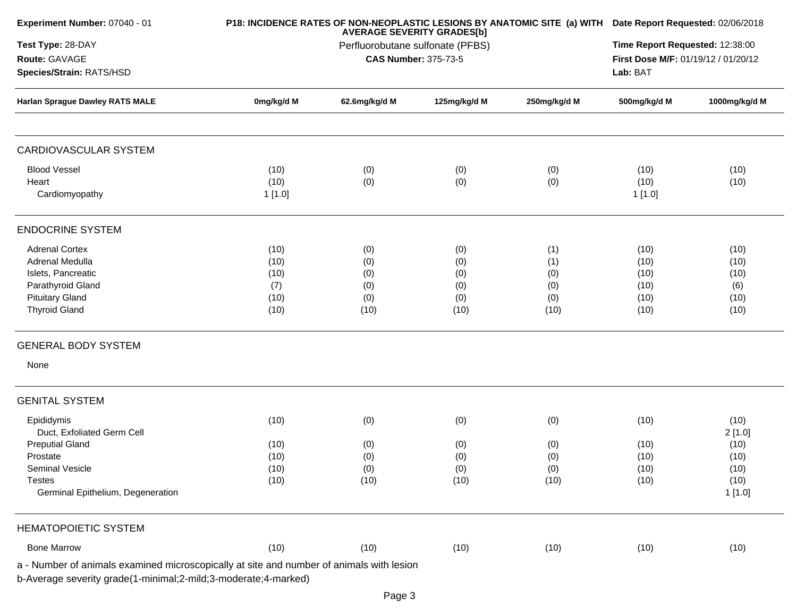|                                             | Perfluorobutane sulfonate (PFBS)                               | <b>AVERAGE SEVERITY GRADES[b]</b>       |                                                                                          |                                                 |                                             |
|---------------------------------------------|----------------------------------------------------------------|-----------------------------------------|------------------------------------------------------------------------------------------|-------------------------------------------------|---------------------------------------------|
|                                             |                                                                | <b>CAS Number: 375-73-5</b>             |                                                                                          | First Dose M/F: 01/19/12 / 01/20/12<br>Lab: BAT | Time Report Requested: 12:38:00             |
| 0mg/kg/d M                                  | 62.6mg/kg/d M                                                  | 125mg/kg/d M                            | 250mg/kg/d M                                                                             | 500mg/kg/d M                                    | 1000mg/kg/d M                               |
|                                             |                                                                |                                         |                                                                                          |                                                 |                                             |
| (10)<br>(10)<br>1[1.0]                      | (0)<br>(0)                                                     | (0)<br>(0)                              | (0)<br>(0)                                                                               | (10)<br>(10)<br>1[1.0]                          | (10)<br>(10)                                |
|                                             |                                                                |                                         |                                                                                          |                                                 |                                             |
| (10)<br>(10)<br>(10)<br>(7)<br>(10)<br>(10) | (0)<br>(0)<br>(0)<br>(0)<br>(0)<br>(10)                        | (0)<br>(0)<br>(0)<br>(0)<br>(0)<br>(10) | (1)<br>(1)<br>(0)<br>(0)<br>(0)<br>(10)                                                  | (10)<br>(10)<br>(10)<br>(10)<br>(10)<br>(10)    | (10)<br>(10)<br>(10)<br>(6)<br>(10)<br>(10) |
|                                             |                                                                |                                         |                                                                                          |                                                 |                                             |
|                                             |                                                                |                                         |                                                                                          |                                                 |                                             |
| (10)                                        | (0)                                                            | (0)                                     | (0)                                                                                      | (10)                                            | (10)<br>2[1.0]                              |
| (10)<br>(10)<br>(10)<br>(10)                | (0)<br>(0)<br>(0)<br>(10)                                      | (0)<br>(0)<br>(0)<br>(10)               | (0)<br>(0)<br>(0)<br>(10)                                                                | (10)<br>(10)<br>(10)<br>(10)                    | (10)<br>(10)<br>(10)<br>(10)<br>1[1.0]      |
|                                             |                                                                |                                         |                                                                                          |                                                 |                                             |
| (10)                                        | (10)                                                           | (10)                                    | (10)                                                                                     | (10)                                            | (10)                                        |
|                                             | b-Average severity grade(1-minimal;2-mild;3-moderate;4-marked) |                                         | a - Number of animals examined microscopically at site and number of animals with lesion |                                                 |                                             |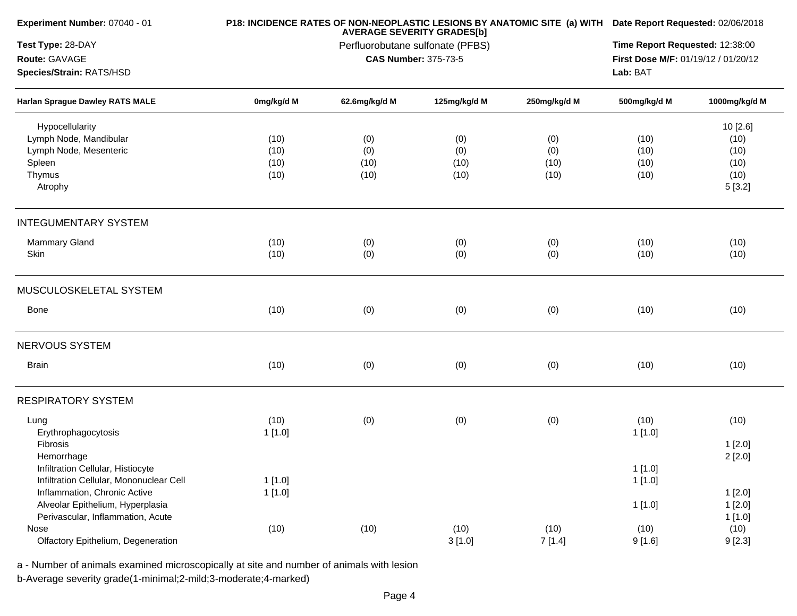| Experiment Number: 07040 - 01           |            |               | <b>AVERAGE SEVERITY GRADES[b]</b> |              | P18: INCIDENCE RATES OF NON-NEOPLASTIC LESIONS BY ANATOMIC SITE (a) WITH Date Report Requested: 02/06/2018 |                                                                                                                                                                                                            |  |  |
|-----------------------------------------|------------|---------------|-----------------------------------|--------------|------------------------------------------------------------------------------------------------------------|------------------------------------------------------------------------------------------------------------------------------------------------------------------------------------------------------------|--|--|
| Test Type: 28-DAY                       |            |               | Perfluorobutane sulfonate (PFBS)  |              |                                                                                                            | Time Report Requested: 12:38:00                                                                                                                                                                            |  |  |
| Route: GAVAGE                           |            |               | <b>CAS Number: 375-73-5</b>       |              |                                                                                                            |                                                                                                                                                                                                            |  |  |
| Species/Strain: RATS/HSD                |            |               |                                   |              | Lab: BAT                                                                                                   | First Dose M/F: 01/19/12 / 01/20/12<br>1000mg/kg/d M<br>10 [2.6]<br>(10)<br>(10)<br>(10)<br>(10)<br>(10)<br>(10)<br>(10)<br>(10)<br>5[3.2]<br>(10)<br>(10)<br>(10)<br>(10)<br>(10)<br>(10)<br>(10)<br>(10) |  |  |
| <b>Harlan Sprague Dawley RATS MALE</b>  | 0mg/kg/d M | 62.6mg/kg/d M | 125mg/kg/d M                      | 250mg/kg/d M | 500mg/kg/d M                                                                                               |                                                                                                                                                                                                            |  |  |
| Hypocellularity                         |            |               |                                   |              |                                                                                                            |                                                                                                                                                                                                            |  |  |
| Lymph Node, Mandibular                  | (10)       | (0)           | (0)                               | (0)          |                                                                                                            |                                                                                                                                                                                                            |  |  |
| Lymph Node, Mesenteric                  | (10)       | (0)           | (0)                               | (0)          |                                                                                                            |                                                                                                                                                                                                            |  |  |
| Spleen                                  | (10)       | (10)          | (10)                              | (10)         |                                                                                                            |                                                                                                                                                                                                            |  |  |
| Thymus                                  | (10)       | (10)          | (10)                              | (10)         |                                                                                                            |                                                                                                                                                                                                            |  |  |
| Atrophy                                 |            |               |                                   |              |                                                                                                            |                                                                                                                                                                                                            |  |  |
| <b>INTEGUMENTARY SYSTEM</b>             |            |               |                                   |              |                                                                                                            |                                                                                                                                                                                                            |  |  |
| <b>Mammary Gland</b>                    | (10)       | (0)           | (0)                               | (0)          |                                                                                                            |                                                                                                                                                                                                            |  |  |
| Skin                                    | (10)       | (0)           | (0)                               | (0)          |                                                                                                            |                                                                                                                                                                                                            |  |  |
| MUSCULOSKELETAL SYSTEM                  |            |               |                                   |              |                                                                                                            |                                                                                                                                                                                                            |  |  |
| Bone                                    | (10)       | (0)           | (0)                               | (0)          |                                                                                                            |                                                                                                                                                                                                            |  |  |
| NERVOUS SYSTEM                          |            |               |                                   |              |                                                                                                            |                                                                                                                                                                                                            |  |  |
| <b>Brain</b>                            | (10)       | (0)           | (0)                               | (0)          |                                                                                                            |                                                                                                                                                                                                            |  |  |
| <b>RESPIRATORY SYSTEM</b>               |            |               |                                   |              |                                                                                                            |                                                                                                                                                                                                            |  |  |
| Lung                                    | (10)       | (0)           | (0)                               | (0)          | (10)                                                                                                       | (10)                                                                                                                                                                                                       |  |  |
| Erythrophagocytosis                     | 1[1.0]     |               |                                   |              | 1[1.0]                                                                                                     |                                                                                                                                                                                                            |  |  |
| Fibrosis                                |            |               |                                   |              |                                                                                                            | 1[2.0]                                                                                                                                                                                                     |  |  |
| Hemorrhage                              |            |               |                                   |              |                                                                                                            | 2[2.0]                                                                                                                                                                                                     |  |  |
| Infiltration Cellular, Histiocyte       |            |               |                                   |              | 1[1.0]                                                                                                     |                                                                                                                                                                                                            |  |  |
| Infiltration Cellular, Mononuclear Cell | 1[1.0]     |               |                                   |              | 1[1.0]                                                                                                     |                                                                                                                                                                                                            |  |  |
| Inflammation, Chronic Active            | 1[1.0]     |               |                                   |              |                                                                                                            | 1[2.0]                                                                                                                                                                                                     |  |  |
| Alveolar Epithelium, Hyperplasia        |            |               |                                   |              | 1[1.0]                                                                                                     | 1[2.0]                                                                                                                                                                                                     |  |  |
| Perivascular, Inflammation, Acute       |            |               |                                   |              |                                                                                                            | 1[1.0]                                                                                                                                                                                                     |  |  |
| Nose                                    | (10)       | (10)          | (10)                              | (10)         | (10)                                                                                                       | (10)                                                                                                                                                                                                       |  |  |
| Olfactory Epithelium, Degeneration      |            |               | 3[1.0]                            | 7[1.4]       | 9[1.6]                                                                                                     | 9[2.3]                                                                                                                                                                                                     |  |  |
|                                         |            |               |                                   |              |                                                                                                            |                                                                                                                                                                                                            |  |  |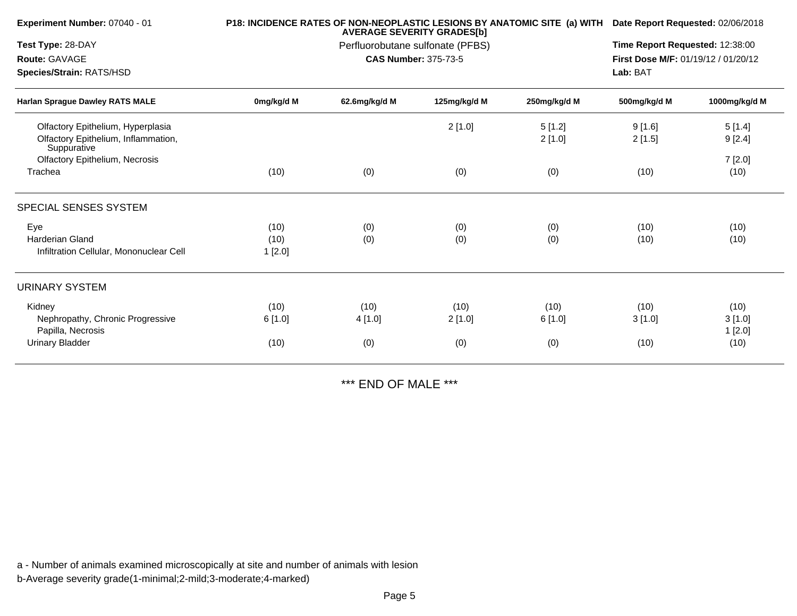| Experiment Number: 07040 - 01                                                             |                        |                        | <b>AVERAGE SEVERITY GRADES[b]</b>                               |                       | P18: INCIDENCE RATES OF NON-NEOPLASTIC LESIONS BY ANATOMIC SITE (a) WITH Date Report Requested: 02/06/2018<br>Time Report Requested: 12:38:00<br>First Dose M/F: 01/19/12 / 01/20/12 |                                  |  |  |
|-------------------------------------------------------------------------------------------|------------------------|------------------------|-----------------------------------------------------------------|-----------------------|--------------------------------------------------------------------------------------------------------------------------------------------------------------------------------------|----------------------------------|--|--|
| Test Type: 28-DAY<br>Route: GAVAGE                                                        |                        |                        | Perfluorobutane sulfonate (PFBS)<br><b>CAS Number: 375-73-5</b> |                       |                                                                                                                                                                                      |                                  |  |  |
| Species/Strain: RATS/HSD                                                                  |                        |                        |                                                                 |                       | Lab: BAT                                                                                                                                                                             |                                  |  |  |
| <b>Harlan Sprague Dawley RATS MALE</b>                                                    | 0mg/kg/d M             | 62.6mg/kg/d M          | 125mg/kg/d M                                                    | 250mg/kg/d M          | 500mg/kg/d M                                                                                                                                                                         | 1000mg/kg/d M                    |  |  |
| Olfactory Epithelium, Hyperplasia<br>Olfactory Epithelium, Inflammation,<br>Suppurative   |                        |                        | 2[1.0]                                                          | 5[1.2]<br>2[1.0]      | 9[1.6]<br>2[1.5]                                                                                                                                                                     | 5[1.4]<br>9[2.4]                 |  |  |
| Olfactory Epithelium, Necrosis<br>Trachea                                                 | (10)                   | (0)                    | (0)                                                             | (0)                   | (10)                                                                                                                                                                                 | 7[2.0]<br>(10)                   |  |  |
| <b>SPECIAL SENSES SYSTEM</b>                                                              |                        |                        |                                                                 |                       |                                                                                                                                                                                      |                                  |  |  |
| Eye<br>Harderian Gland<br>Infiltration Cellular, Mononuclear Cell                         | (10)<br>(10)<br>1[2.0] | (0)<br>(0)             | (0)<br>(0)                                                      | (0)<br>(0)            | (10)<br>(10)                                                                                                                                                                         | (10)<br>(10)                     |  |  |
| <b>URINARY SYSTEM</b>                                                                     |                        |                        |                                                                 |                       |                                                                                                                                                                                      |                                  |  |  |
| Kidney<br>Nephropathy, Chronic Progressive<br>Papilla, Necrosis<br><b>Urinary Bladder</b> | (10)<br>6[1.0]<br>(10) | (10)<br>4 [1.0]<br>(0) | (10)<br>2[1.0]<br>(0)                                           | (10)<br>6[1.0]<br>(0) | (10)<br>3[1.0]<br>(10)                                                                                                                                                               | (10)<br>3[1.0]<br>1[2.0]<br>(10) |  |  |
|                                                                                           |                        |                        |                                                                 |                       |                                                                                                                                                                                      |                                  |  |  |

\*\*\* END OF MALE \*\*\*

a - Number of animals examined microscopically at site and number of animals with lesion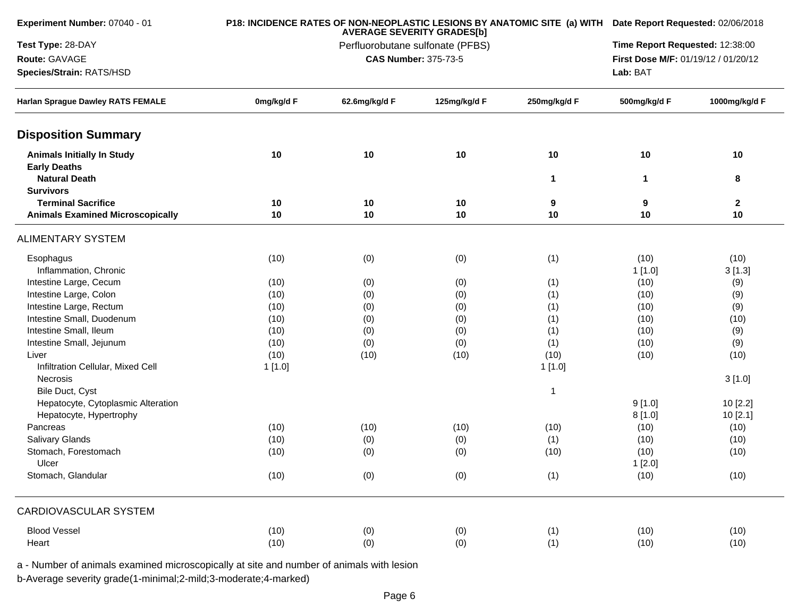| Experiment Number: 07040 - 01                            |            |                                  | <b>AVERAGE SEVERITY GRADES[b]</b> |              | P18: INCIDENCE RATES OF NON-NEOPLASTIC LESIONS BY ANATOMIC SITE (a) WITH Date Report Requested: 02/06/2018 |                                 |  |  |  |
|----------------------------------------------------------|------------|----------------------------------|-----------------------------------|--------------|------------------------------------------------------------------------------------------------------------|---------------------------------|--|--|--|
| Test Type: 28-DAY                                        |            | Perfluorobutane sulfonate (PFBS) |                                   |              |                                                                                                            | Time Report Requested: 12:38:00 |  |  |  |
| Route: GAVAGE                                            |            | <b>CAS Number: 375-73-5</b>      |                                   |              |                                                                                                            |                                 |  |  |  |
| Species/Strain: RATS/HSD                                 |            |                                  |                                   |              | Lab: BAT                                                                                                   | 1000mg/kg/d F<br>10             |  |  |  |
| <b>Harlan Sprague Dawley RATS FEMALE</b>                 | 0mg/kg/d F | 62.6mg/kg/d F                    | 125mg/kg/d F                      | 250mg/kg/d F | 500mg/kg/d F                                                                                               |                                 |  |  |  |
| <b>Disposition Summary</b>                               |            |                                  |                                   |              |                                                                                                            |                                 |  |  |  |
| <b>Animals Initially In Study</b><br><b>Early Deaths</b> | 10         | 10                               | 10                                | 10           | 10                                                                                                         |                                 |  |  |  |
| <b>Natural Death</b><br><b>Survivors</b>                 |            |                                  |                                   | 1            | 1                                                                                                          | 8                               |  |  |  |
| <b>Terminal Sacrifice</b>                                | 10         | 10                               | 10                                | 9            | 9                                                                                                          | $\mathbf{2}$                    |  |  |  |
| <b>Animals Examined Microscopically</b>                  | 10         | $10$                             | 10                                | 10           | 10                                                                                                         | 10                              |  |  |  |
| <b>ALIMENTARY SYSTEM</b>                                 |            |                                  |                                   |              |                                                                                                            |                                 |  |  |  |
| Esophagus                                                | (10)       | (0)                              | (0)                               | (1)          | (10)                                                                                                       | (10)                            |  |  |  |
| Inflammation, Chronic                                    |            |                                  |                                   |              | 1[1.0]                                                                                                     | 3[1.3]                          |  |  |  |
| Intestine Large, Cecum                                   | (10)       | (0)                              | (0)                               | (1)          | (10)                                                                                                       | (9)                             |  |  |  |
| Intestine Large, Colon                                   | (10)       | (0)                              | (0)                               | (1)          | (10)                                                                                                       | (9)                             |  |  |  |
| Intestine Large, Rectum                                  | (10)       | (0)                              | (0)                               | (1)          | (10)                                                                                                       | (9)                             |  |  |  |
| Intestine Small, Duodenum                                | (10)       | (0)                              | (0)                               | (1)          | (10)                                                                                                       | (10)                            |  |  |  |
| Intestine Small, Ileum                                   | (10)       | (0)                              | (0)                               | (1)          | (10)                                                                                                       | (9)                             |  |  |  |
| Intestine Small, Jejunum                                 | (10)       | (0)                              | (0)                               | (1)          | (10)                                                                                                       | (9)                             |  |  |  |
| Liver                                                    | (10)       | (10)                             | (10)                              | (10)         | (10)                                                                                                       | (10)                            |  |  |  |
| Infiltration Cellular, Mixed Cell                        | 1[1.0]     |                                  |                                   | 1[1.0]       |                                                                                                            |                                 |  |  |  |
| <b>Necrosis</b>                                          |            |                                  |                                   |              |                                                                                                            | 3[1.0]                          |  |  |  |
| Bile Duct, Cyst                                          |            |                                  |                                   | 1            |                                                                                                            |                                 |  |  |  |
| Hepatocyte, Cytoplasmic Alteration                       |            |                                  |                                   |              | 9[1.0]                                                                                                     | 10 [2.2]                        |  |  |  |
| Hepatocyte, Hypertrophy                                  |            |                                  |                                   |              | 8[1.0]                                                                                                     | 10[2.1]                         |  |  |  |
| Pancreas                                                 | (10)       | (10)                             | (10)                              | (10)         | (10)                                                                                                       | (10)                            |  |  |  |
| Salivary Glands                                          | (10)       | (0)                              | (0)                               | (1)          | (10)                                                                                                       | (10)                            |  |  |  |
| Stomach, Forestomach                                     | (10)       | (0)                              | (0)                               | (10)         | (10)                                                                                                       | (10)                            |  |  |  |
| Ulcer                                                    |            |                                  |                                   |              | 1[2.0]                                                                                                     |                                 |  |  |  |
| Stomach, Glandular                                       | (10)       | (0)                              | (0)                               | (1)          | (10)                                                                                                       | (10)                            |  |  |  |
| <b>CARDIOVASCULAR SYSTEM</b>                             |            |                                  |                                   |              |                                                                                                            |                                 |  |  |  |
| <b>Blood Vessel</b>                                      | (10)       | (0)                              | (0)                               | (1)          | (10)                                                                                                       | (10)                            |  |  |  |
| Heart                                                    | (10)       | (0)                              | (0)                               | (1)          | (10)                                                                                                       | (10)                            |  |  |  |
|                                                          |            |                                  |                                   |              |                                                                                                            |                                 |  |  |  |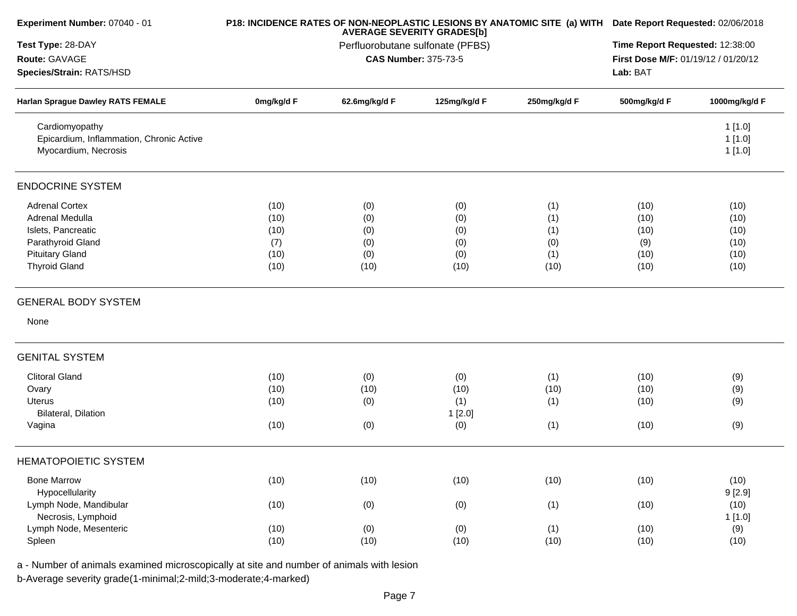| Experiment Number: 07040 - 01                                                      |            |               | <b>AVERAGE SEVERITY GRADES[b]</b> | P18: INCIDENCE RATES OF NON-NEOPLASTIC LESIONS BY ANATOMIC SITE (a) WITH | Date Report Requested: 02/06/2018   |                            |
|------------------------------------------------------------------------------------|------------|---------------|-----------------------------------|--------------------------------------------------------------------------|-------------------------------------|----------------------------|
| Test Type: 28-DAY                                                                  |            |               | Perfluorobutane sulfonate (PFBS)  |                                                                          | Time Report Requested: 12:38:00     |                            |
| Route: GAVAGE                                                                      |            |               | <b>CAS Number: 375-73-5</b>       |                                                                          | First Dose M/F: 01/19/12 / 01/20/12 |                            |
| Species/Strain: RATS/HSD                                                           |            |               |                                   |                                                                          | Lab: BAT                            |                            |
| Harlan Sprague Dawley RATS FEMALE                                                  | 0mg/kg/d F | 62.6mg/kg/d F | 125mg/kg/d F                      | 250mg/kg/d F                                                             | 500mg/kg/d F                        | 1000mg/kg/d F              |
| Cardiomyopathy<br>Epicardium, Inflammation, Chronic Active<br>Myocardium, Necrosis |            |               |                                   |                                                                          |                                     | 1[1.0]<br>1[1.0]<br>1[1.0] |
| <b>ENDOCRINE SYSTEM</b>                                                            |            |               |                                   |                                                                          |                                     |                            |
| <b>Adrenal Cortex</b>                                                              | (10)       | (0)           | (0)                               | (1)                                                                      | (10)                                | (10)                       |
| Adrenal Medulla                                                                    | (10)       | (0)           | (0)                               | (1)                                                                      | (10)                                | (10)                       |
| Islets, Pancreatic                                                                 | (10)       | (0)           | (0)                               | (1)                                                                      | (10)                                | (10)                       |
| Parathyroid Gland                                                                  | (7)        | (0)           | (0)                               | (0)                                                                      | (9)                                 | (10)                       |
| <b>Pituitary Gland</b>                                                             | (10)       | (0)           | (0)                               | (1)                                                                      | (10)                                | (10)                       |
| <b>Thyroid Gland</b>                                                               | (10)       | (10)          | (10)                              | (10)                                                                     | (10)                                | (10)                       |
| <b>GENERAL BODY SYSTEM</b>                                                         |            |               |                                   |                                                                          |                                     |                            |
| None                                                                               |            |               |                                   |                                                                          |                                     |                            |
| <b>GENITAL SYSTEM</b>                                                              |            |               |                                   |                                                                          |                                     |                            |
| <b>Clitoral Gland</b>                                                              | (10)       | (0)           | (0)                               | (1)                                                                      | (10)                                | (9)                        |
| Ovary                                                                              | (10)       | (10)          | (10)                              | (10)                                                                     | (10)                                | (9)                        |
| Uterus                                                                             | (10)       | (0)           | (1)                               | (1)                                                                      | (10)                                | (9)                        |
| Bilateral, Dilation                                                                |            |               | 1[2.0]                            |                                                                          |                                     |                            |
| Vagina                                                                             | (10)       | (0)           | (0)                               | (1)                                                                      | (10)                                | (9)                        |
| <b>HEMATOPOIETIC SYSTEM</b>                                                        |            |               |                                   |                                                                          |                                     |                            |
| <b>Bone Marrow</b><br>Hypocellularity                                              | (10)       | (10)          | (10)                              | (10)                                                                     | (10)                                | (10)<br>9[2.9]             |
| Lymph Node, Mandibular<br>Necrosis, Lymphoid                                       | (10)       | (0)           | (0)                               | (1)                                                                      | (10)                                | (10)<br>1 [1.0]            |
| Lymph Node, Mesenteric                                                             | (10)       | (0)           | (0)                               | (1)                                                                      | (10)                                | (9)                        |
| Spleen                                                                             | (10)       | (10)          | (10)                              | (10)                                                                     | (10)                                | (10)                       |
|                                                                                    |            |               |                                   |                                                                          |                                     |                            |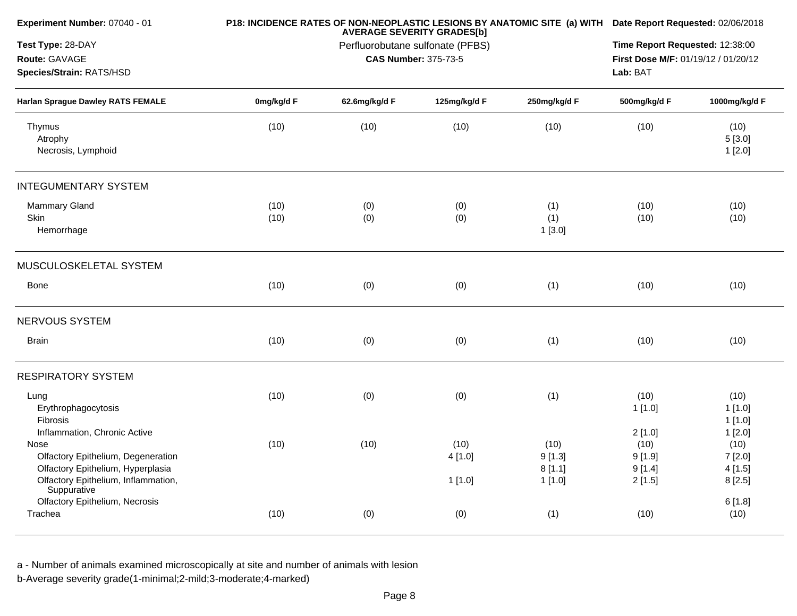| Experiment Number: 07040 - 01                                                           |              |               | <b>AVERAGE SEVERITY GRADES[b]</b>                               | P18: INCIDENCE RATES OF NON-NEOPLASTIC LESIONS BY ANATOMIC SITE (a) WITH Date Report Requested: 02/06/2018 |                                                                                    |                          |
|-----------------------------------------------------------------------------------------|--------------|---------------|-----------------------------------------------------------------|------------------------------------------------------------------------------------------------------------|------------------------------------------------------------------------------------|--------------------------|
| Test Type: 28-DAY<br>Route: GAVAGE<br>Species/Strain: RATS/HSD                          |              |               | Perfluorobutane sulfonate (PFBS)<br><b>CAS Number: 375-73-5</b> |                                                                                                            | Time Report Requested: 12:38:00<br>First Dose M/F: 01/19/12 / 01/20/12<br>Lab: BAT |                          |
| <b>Harlan Sprague Dawley RATS FEMALE</b>                                                | 0mg/kg/d F   | 62.6mg/kg/d F | 125mg/kg/d F                                                    | 250mg/kg/d F                                                                                               | 500mg/kg/d F                                                                       | 1000mg/kg/d F            |
| Thymus<br>Atrophy<br>Necrosis, Lymphoid                                                 | (10)         | (10)          | (10)                                                            | (10)                                                                                                       | (10)                                                                               | (10)<br>5[3.0]<br>1[2.0] |
| <b>INTEGUMENTARY SYSTEM</b>                                                             |              |               |                                                                 |                                                                                                            |                                                                                    |                          |
| <b>Mammary Gland</b><br>Skin<br>Hemorrhage                                              | (10)<br>(10) | (0)<br>(0)    | (0)<br>(0)                                                      | (1)<br>(1)<br>1[3.0]                                                                                       | (10)<br>(10)                                                                       | (10)<br>(10)             |
| MUSCULOSKELETAL SYSTEM                                                                  |              |               |                                                                 |                                                                                                            |                                                                                    |                          |
| Bone                                                                                    | (10)         | (0)           | (0)                                                             | (1)                                                                                                        | (10)                                                                               | (10)                     |
| NERVOUS SYSTEM                                                                          |              |               |                                                                 |                                                                                                            |                                                                                    |                          |
| <b>Brain</b>                                                                            | (10)         | (0)           | (0)                                                             | (1)                                                                                                        | (10)                                                                               | (10)                     |
| <b>RESPIRATORY SYSTEM</b>                                                               |              |               |                                                                 |                                                                                                            |                                                                                    |                          |
| Lung<br>Erythrophagocytosis<br>Fibrosis                                                 | (10)         | (0)           | (0)                                                             | (1)                                                                                                        | (10)<br>1[1.0]                                                                     | (10)<br>1[1.0]<br>1[1.0] |
| Inflammation, Chronic Active<br>Nose<br>Olfactory Epithelium, Degeneration              | (10)         | (10)          | (10)<br>4[1.0]                                                  | (10)<br>9[1.3]                                                                                             | 2[1.0]<br>(10)<br>9[1.9]                                                           | 1[2.0]<br>(10)<br>7[2.0] |
| Olfactory Epithelium, Hyperplasia<br>Olfactory Epithelium, Inflammation,<br>Suppurative |              |               | 1[1.0]                                                          | 8[1.1]<br>1[1.0]                                                                                           | 9[1.4]<br>2[1.5]                                                                   | 4[1.5]<br>8[2.5]         |
| Olfactory Epithelium, Necrosis<br>Trachea                                               | (10)         | (0)           | (0)                                                             | (1)                                                                                                        | (10)                                                                               | 6[1.8]<br>(10)           |
|                                                                                         |              |               |                                                                 |                                                                                                            |                                                                                    |                          |